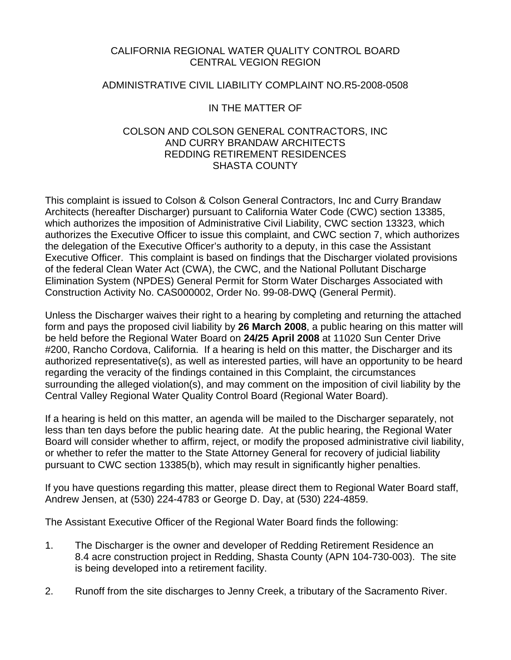## CALIFORNIA REGIONAL WATER QUALITY CONTROL BOARD CENTRAL VEGION REGION

## ADMINISTRATIVE CIVIL LIABILITY COMPLAINT NO.R5-2008-0508

# IN THE MATTER OF

### COLSON AND COLSON GENERAL CONTRACTORS, INC AND CURRY BRANDAW ARCHITECTS REDDING RETIREMENT RESIDENCES SHASTA COUNTY

This complaint is issued to Colson & Colson General Contractors, Inc and Curry Brandaw Architects (hereafter Discharger) pursuant to California Water Code (CWC) section 13385, which authorizes the imposition of Administrative Civil Liability, CWC section 13323, which authorizes the Executive Officer to issue this complaint, and CWC section 7, which authorizes the delegation of the Executive Officer's authority to a deputy, in this case the Assistant Executive Officer. This complaint is based on findings that the Discharger violated provisions of the federal Clean Water Act (CWA), the CWC, and the National Pollutant Discharge Elimination System (NPDES) General Permit for Storm Water Discharges Associated with Construction Activity No. CAS000002, Order No. 99-08-DWQ (General Permit).

Unless the Discharger waives their right to a hearing by completing and returning the attached form and pays the proposed civil liability by **26 March 2008**, a public hearing on this matter will be held before the Regional Water Board on **24/25 April 2008** at 11020 Sun Center Drive #200, Rancho Cordova, California. If a hearing is held on this matter, the Discharger and its authorized representative(s), as well as interested parties, will have an opportunity to be heard regarding the veracity of the findings contained in this Complaint, the circumstances surrounding the alleged violation(s), and may comment on the imposition of civil liability by the Central Valley Regional Water Quality Control Board (Regional Water Board).

If a hearing is held on this matter, an agenda will be mailed to the Discharger separately, not less than ten days before the public hearing date. At the public hearing, the Regional Water Board will consider whether to affirm, reject, or modify the proposed administrative civil liability, or whether to refer the matter to the State Attorney General for recovery of judicial liability pursuant to CWC section 13385(b), which may result in significantly higher penalties.

If you have questions regarding this matter, please direct them to Regional Water Board staff, Andrew Jensen, at (530) 224-4783 or George D. Day, at (530) 224-4859.

The Assistant Executive Officer of the Regional Water Board finds the following:

- 1. The Discharger is the owner and developer of Redding Retirement Residence an 8.4 acre construction project in Redding, Shasta County (APN 104-730-003). The site is being developed into a retirement facility.
- 2. Runoff from the site discharges to Jenny Creek, a tributary of the Sacramento River.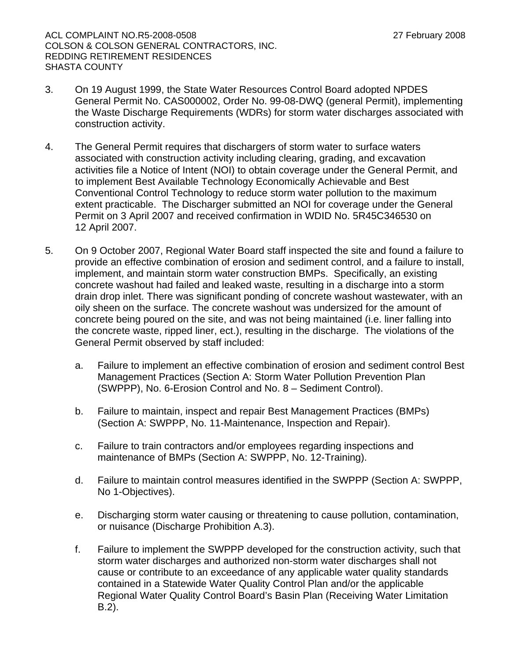ACL COMPLAINT NO.R5-2008-0508 27 February 2008 COLSON & COLSON GENERAL CONTRACTORS, INC. REDDING RETIREMENT RESIDENCES SHASTA COUNTY

- 3. On 19 August 1999, the State Water Resources Control Board adopted NPDES General Permit No. CAS000002, Order No. 99-08-DWQ (general Permit), implementing the Waste Discharge Requirements (WDRs) for storm water discharges associated with construction activity.
- 4. The General Permit requires that dischargers of storm water to surface waters associated with construction activity including clearing, grading, and excavation activities file a Notice of Intent (NOI) to obtain coverage under the General Permit, and to implement Best Available Technology Economically Achievable and Best Conventional Control Technology to reduce storm water pollution to the maximum extent practicable. The Discharger submitted an NOI for coverage under the General Permit on 3 April 2007 and received confirmation in WDID No. 5R45C346530 on 12 April 2007.
- 5. On 9 October 2007, Regional Water Board staff inspected the site and found a failure to provide an effective combination of erosion and sediment control, and a failure to install, implement, and maintain storm water construction BMPs. Specifically, an existing concrete washout had failed and leaked waste, resulting in a discharge into a storm drain drop inlet. There was significant ponding of concrete washout wastewater, with an oily sheen on the surface. The concrete washout was undersized for the amount of concrete being poured on the site, and was not being maintained (i.e. liner falling into the concrete waste, ripped liner, ect.), resulting in the discharge. The violations of the General Permit observed by staff included:
	- a. Failure to implement an effective combination of erosion and sediment control Best Management Practices (Section A: Storm Water Pollution Prevention Plan (SWPPP), No. 6-Erosion Control and No. 8 – Sediment Control).
	- b. Failure to maintain, inspect and repair Best Management Practices (BMPs) (Section A: SWPPP, No. 11-Maintenance, Inspection and Repair).
	- c. Failure to train contractors and/or employees regarding inspections and maintenance of BMPs (Section A: SWPPP, No. 12-Training).
	- d. Failure to maintain control measures identified in the SWPPP (Section A: SWPPP, No 1-Objectives).
	- e. Discharging storm water causing or threatening to cause pollution, contamination, or nuisance (Discharge Prohibition A.3).
	- f. Failure to implement the SWPPP developed for the construction activity, such that storm water discharges and authorized non-storm water discharges shall not cause or contribute to an exceedance of any applicable water quality standards contained in a Statewide Water Quality Control Plan and/or the applicable Regional Water Quality Control Board's Basin Plan (Receiving Water Limitation B.2).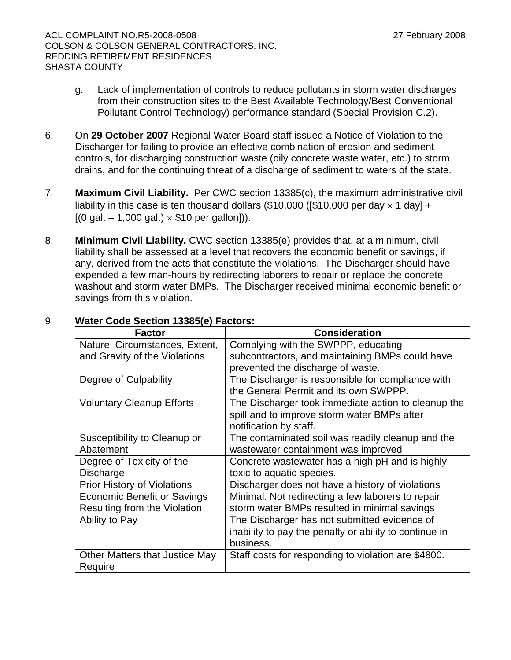- g. Lack of implementation of controls to reduce pollutants in storm water discharges from their construction sites to the Best Available Technology/Best Conventional Pollutant Control Technology) performance standard (Special Provision C.2).
- 6. On **29 October 2007** Regional Water Board staff issued a Notice of Violation to the Discharger for failing to provide an effective combination of erosion and sediment controls, for discharging construction waste (oily concrete waste water, etc.) to storm drains, and for the continuing threat of a discharge of sediment to waters of the state.
- 7. **Maximum Civil Liability.** Per CWC section 13385(c), the maximum administrative civil liability in this case is ten thousand dollars (\$10,000 ([\$10,000 per day  $\times$  1 day] +  $[(0 \text{ gal.} - 1,000 \text{ gal.}) \times $10 \text{ per gallon}]).$
- 8. **Minimum Civil Liability.** CWC section 13385(e) provides that, at a minimum, civil liability shall be assessed at a level that recovers the economic benefit or savings, if any, derived from the acts that constitute the violations. The Discharger should have expended a few man-hours by redirecting laborers to repair or replace the concrete washout and storm water BMPs. The Discharger received minimal economic benefit or savings from this violation.

| <b>Factor</b>                      | <b>Consideration</b>                                   |
|------------------------------------|--------------------------------------------------------|
| Nature, Circumstances, Extent,     | Complying with the SWPPP, educating                    |
| and Gravity of the Violations      | subcontractors, and maintaining BMPs could have        |
|                                    | prevented the discharge of waste.                      |
| Degree of Culpability              | The Discharger is responsible for compliance with      |
|                                    | the General Permit and its own SWPPP.                  |
| <b>Voluntary Cleanup Efforts</b>   | The Discharger took immediate action to cleanup the    |
|                                    | spill and to improve storm water BMPs after            |
|                                    | notification by staff.                                 |
| Susceptibility to Cleanup or       | The contaminated soil was readily cleanup and the      |
| Abatement                          | wastewater containment was improved                    |
| Degree of Toxicity of the          | Concrete wastewater has a high pH and is highly        |
| Discharge                          | toxic to aquatic species.                              |
| <b>Prior History of Violations</b> | Discharger does not have a history of violations       |
| <b>Economic Benefit or Savings</b> | Minimal. Not redirecting a few laborers to repair      |
| Resulting from the Violation       | storm water BMPs resulted in minimal savings           |
| Ability to Pay                     | The Discharger has not submitted evidence of           |
|                                    | inability to pay the penalty or ability to continue in |
|                                    | business.                                              |
| Other Matters that Justice May     | Staff costs for responding to violation are \$4800.    |
| Require                            |                                                        |

## 9. **Water Code Section 13385(e) Factors:**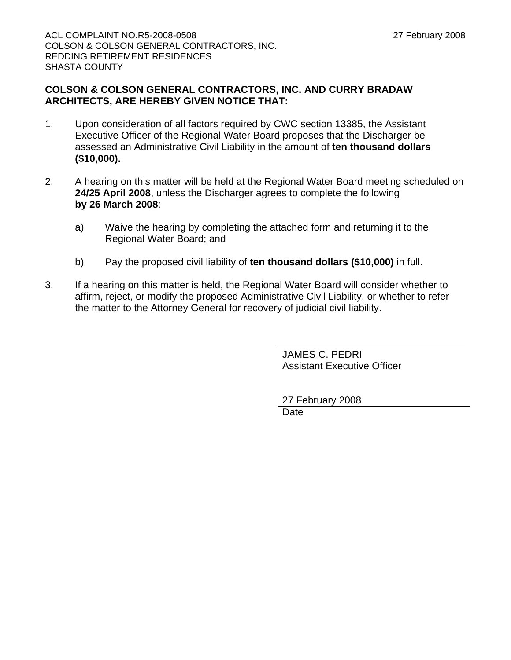## **COLSON & COLSON GENERAL CONTRACTORS, INC. AND CURRY BRADAW ARCHITECTS, ARE HEREBY GIVEN NOTICE THAT:**

- 1. Upon consideration of all factors required by CWC section 13385, the Assistant Executive Officer of the Regional Water Board proposes that the Discharger be assessed an Administrative Civil Liability in the amount of **ten thousand dollars (\$10,000).**
- 2. A hearing on this matter will be held at the Regional Water Board meeting scheduled on **24/25 April 2008**, unless the Discharger agrees to complete the following **by 26 March 2008**:
	- a) Waive the hearing by completing the attached form and returning it to the Regional Water Board; and
	- b) Pay the proposed civil liability of **ten thousand dollars (\$10,000)** in full.
- 3. If a hearing on this matter is held, the Regional Water Board will consider whether to affirm, reject, or modify the proposed Administrative Civil Liability, or whether to refer the matter to the Attorney General for recovery of judicial civil liability.

JAMES C. PEDRI Assistant Executive Officer

27 February 2008 Date<sup></sup>